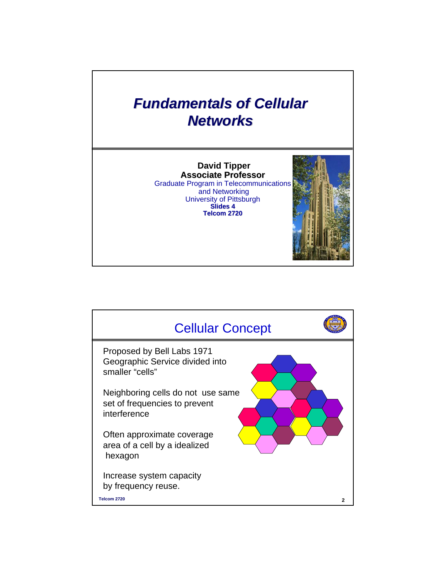## **Fundamentals of Cellular** *Networks Networks*

**David Tipper Associate Professor** Graduate Program in Telecommunications and Networking University of Pittsburgh **Slides 4 Telcom 2720** 



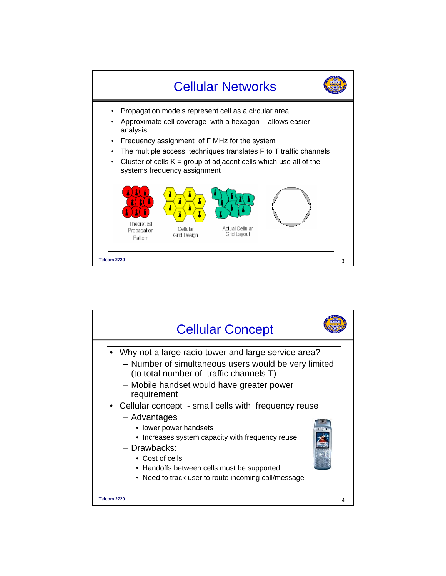

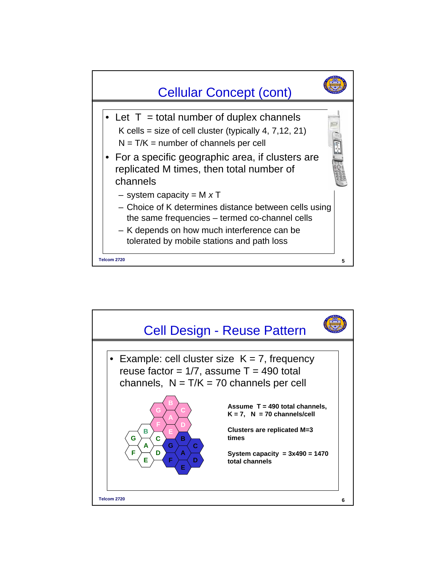

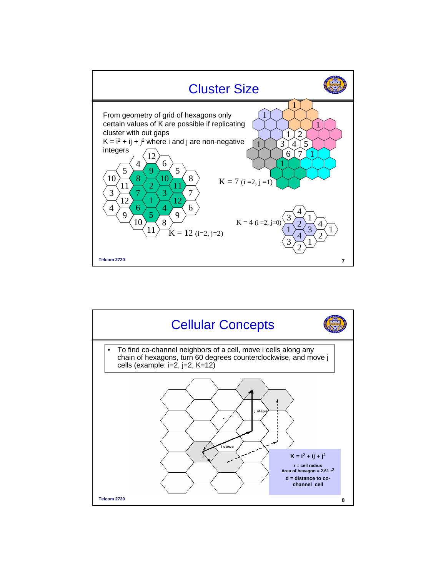

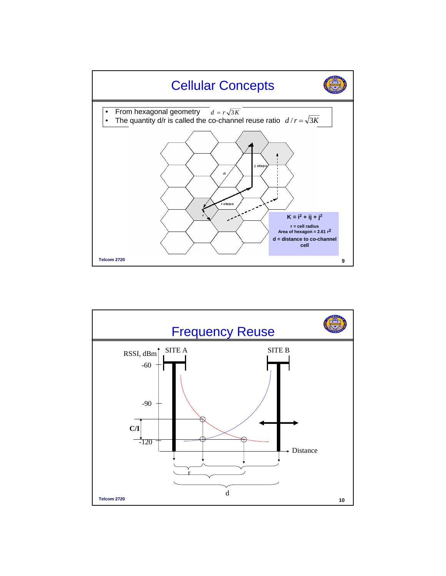

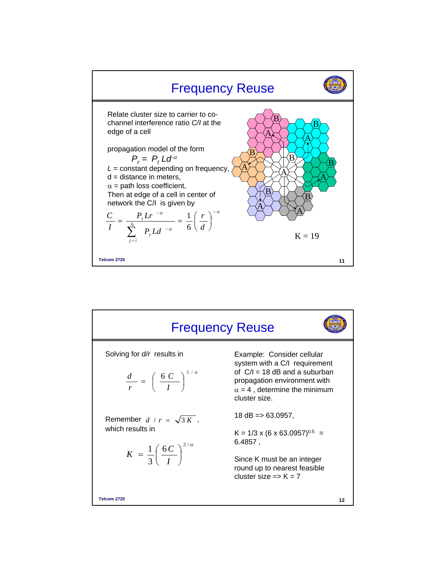

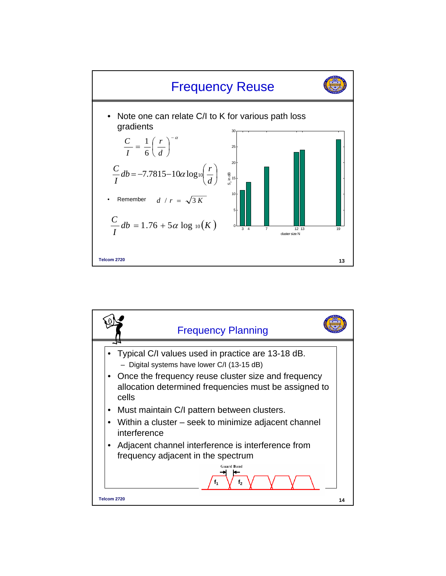

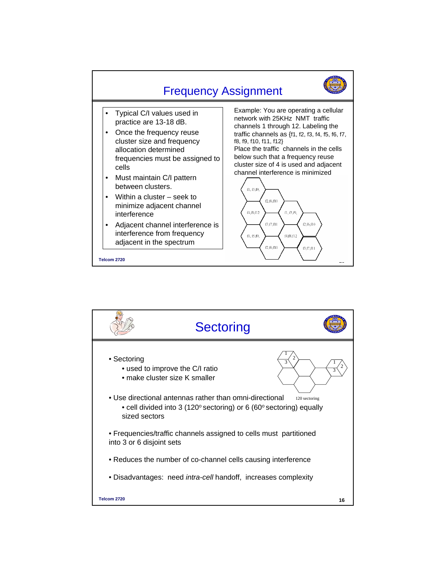

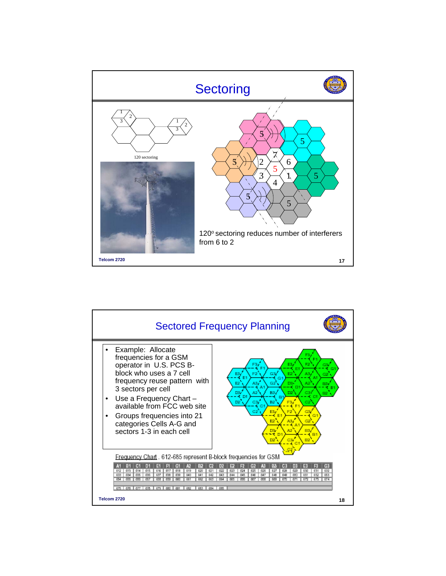

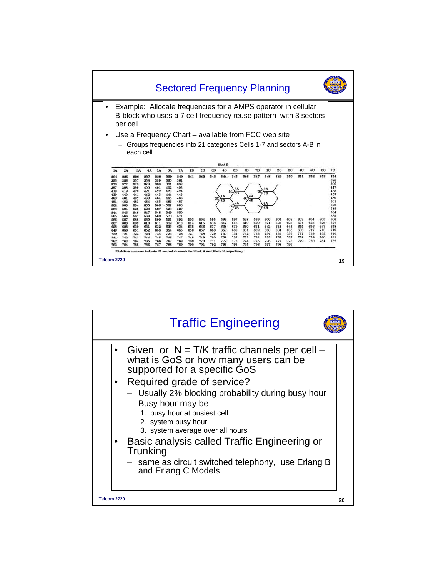

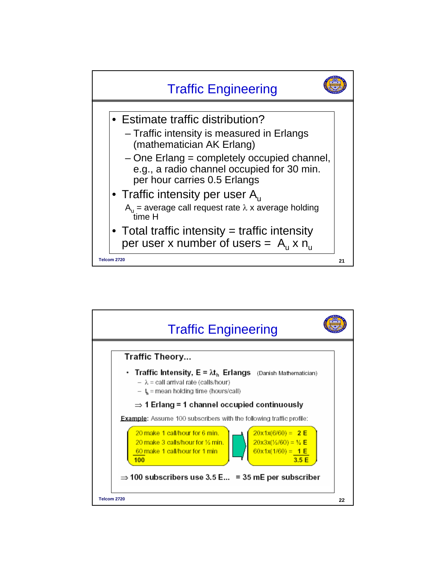

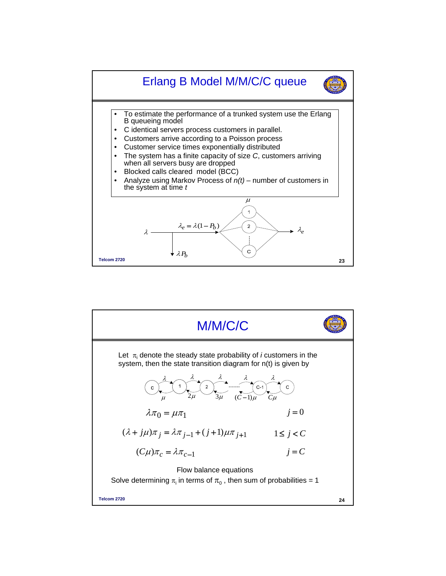

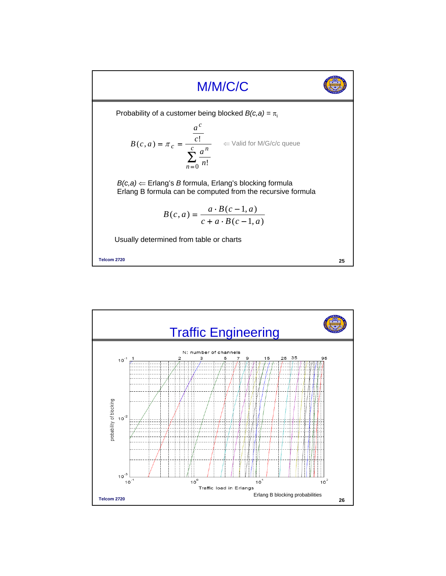

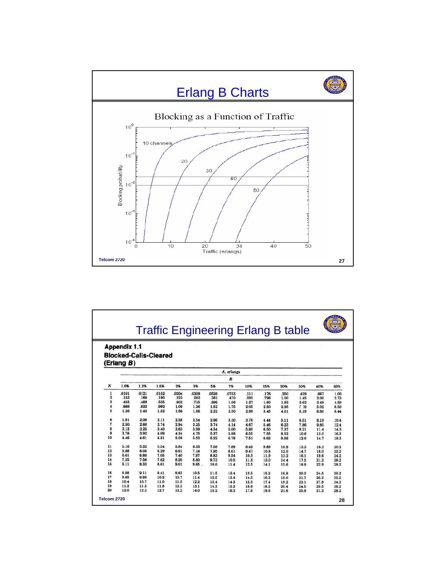

| <b>Traffic Engineering Erlang B table</b> |              |       |                              |       |       |       |       |      |      |      |      |      |      |
|-------------------------------------------|--------------|-------|------------------------------|-------|-------|-------|-------|------|------|------|------|------|------|
|                                           |              |       |                              |       |       |       |       |      |      |      |      |      |      |
|                                           | Appendix 1.1 |       |                              |       |       |       |       |      |      |      |      |      |      |
|                                           |              |       | <b>Blocked-Calls-Cleared</b> |       |       |       |       |      |      |      |      |      |      |
|                                           | (Erlang B)   |       |                              |       |       |       |       |      |      |      |      |      |      |
|                                           | A, erlangs   |       |                              |       |       |       |       |      |      |      |      |      |      |
|                                           |              |       |                              |       |       |       | B     |      |      |      |      |      |      |
| N                                         | 1.0%         | 1.2%  | 1.5%                         | 2%    | 3%    | 5%    | 7%    | 10%  | 15%  | 20%  | 30%  | 40%  | 50%  |
| 1                                         | .0101        | .0121 | .0152                        | .0204 | .0309 | .0526 | .0753 | .111 | .176 | .250 | .429 | .667 | 1.00 |
| $\overline{\mathbf{2}}$                   | .153         | .168  | .190                         | .223  | .282  | .381  | .470  | .595 | .796 | 1.00 | 1.45 | 2.00 | 2.73 |
| 3                                         | .455         | .489  | .535                         | .602  | .715  | .899  | 1.06  | 1.27 | 1.60 | 1.93 | 2.63 | 3.48 | 4.59 |
|                                           | .869         | .922  | .992                         | 1.09  | 1.26  | 1.52  | 1.75  | 2.05 | 2.50 | 2.95 | 539  | 5.02 | 6.50 |
| 5                                         | 1.36         | 1.43  | 1.52                         | 1.66  | 1.88  | 2.22  | 2.50  | 2.88 | 3.45 | 4.01 | 5.19 | 6.60 | 8.44 |
| 6                                         | 1.91         | 2.00  | 2.11                         | 2.28  | 2.54  | 2.96  | 3.30  | 3.76 | 4.44 | 5.11 | 6.51 | 8.19 | 10.4 |
| $\overline{\mathbf{r}}$                   | 2.50         | 2.60  | 2.74                         | 2.94  | 3.25  | 3.74  | 4.14  | 4.67 | 5.46 | 6.23 | 7.86 | 9.80 | 12.4 |
| 8                                         | 3.13         | 3.25  | 3.40                         | 3.63  | 3.99  | 4.54  | 5.00  | 5.60 | 6.50 | 7.37 | 9.21 | 11.4 | 14.3 |
| 9                                         | 3.78         | 3.92  | 4.09                         | 4.34  | 4.75  | 5.37  | 5.88  | 6.55 | 7.55 | 8.52 | 10.6 | 13.0 | 16.3 |
| 10                                        | 4.46         | 4.61  | 4.81                         | 5.08  | 5.53  | 6.22  | 6.78  | 7.51 | 8.62 | 9.68 | 12.0 | 14.7 | 18.3 |
| 11                                        | 5.16         | 5.32  | 5.54                         | 5.84  | 6.33  | 7.08  | 7.69  | 8.49 | 9.69 | 10.9 | 13.3 | 16.3 | 20.3 |
| 12                                        | 5.88         | 6.05  | 6.29                         | 6.61  | 7.14  | 7.95  | 8.61  | 9.47 | 10.8 | 12.0 | 14.7 | 18.0 | 22.2 |
| 13                                        | 6.61         | 6.80  | 7.05                         | 7.40  | 7.97  | 8.83  | 9.54  | 10.5 | 11.9 | 13.2 | 16.1 | 19.6 | 24.2 |
| 14                                        | 7.35         | 7.56  | 7.82                         | 8.20  | 8.80  | 9.73  | 10.5  | 11.5 | 13.0 | 14.4 | 17.5 | 21.2 | 26.2 |
| 15                                        | 8.11         | 8.33  | 8.61                         | 9.01  | 9.65  | 10.6  | 11.4  | 12.5 | 14.1 | 15.6 | 18.9 | 22.9 | 28.2 |
| 16                                        | 8.88         | 9.11  | 9.41                         | 9.83  | 10.5  | 11.5  | 12.4  | 13.5 | 15.2 | 16.8 | 20.3 | 24.5 | 30.2 |
| 17                                        | 9.65         | 9.89  | 10.2                         | 10.7  | 11.4  | 12.5  | 13.4  | 14.5 | 16.3 | 18.0 | 21.7 | 26.2 | 32.2 |
| 18                                        | 10.4         | 10.7  | 11.0                         | 11.5  | 12.2  | 13.4  | 14.3  | 15.5 | 17.4 | 19.2 | 23.1 | 27.8 | 34.2 |
|                                           | 11.2         | 11.5  | 11.8                         | 12.3  | 13.1  | 14.3  | 15.3  | 16.6 | 18.5 | 20.4 | 24.5 | 29.5 | 36.2 |
| 19<br>20                                  | 12.0         | 12.3  | 12.7                         | 13.2  | 14.0  | 15.2  | 16.3  | 17.6 | 19.6 | 21.6 | 25.9 | 31.2 | 38.2 |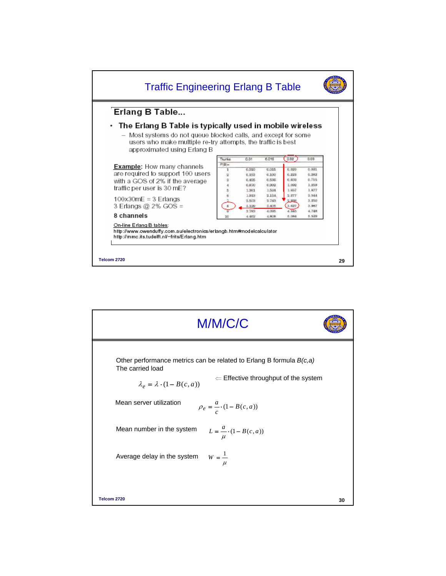

| M/M/C/C                                                                                                                                                                                   |    |
|-------------------------------------------------------------------------------------------------------------------------------------------------------------------------------------------|----|
| Other performance metrics can be related to Erlang B formula $B(c,a)$<br>The carried load<br>$\Leftarrow$ Effective throughput of the system<br>$\lambda_e = \lambda \cdot (1 - B(c, a))$ |    |
| Mean server utilization<br>$\rho_e = \frac{a}{c} \cdot (1 - B(c, a))$                                                                                                                     |    |
| Mean number in the system<br>$L = \frac{a}{\mu} (1 - B(c, a))$                                                                                                                            |    |
| $W = \frac{1}{\mu}$<br>Average delay in the system                                                                                                                                        |    |
|                                                                                                                                                                                           |    |
| Telcom 2720                                                                                                                                                                               | 30 |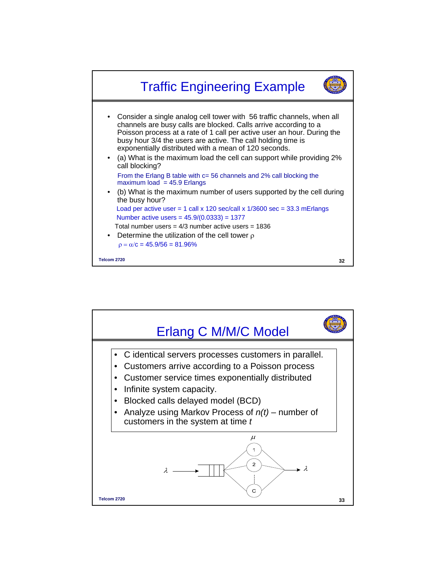

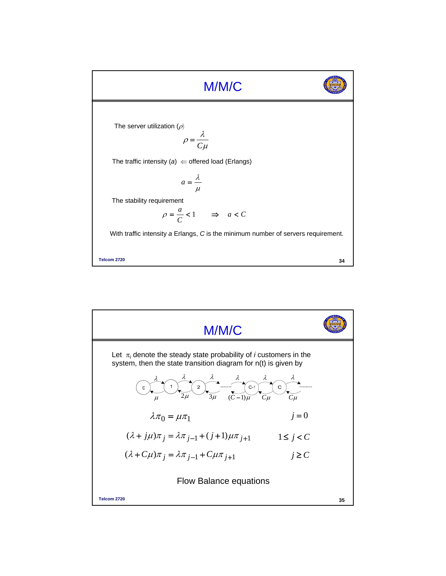

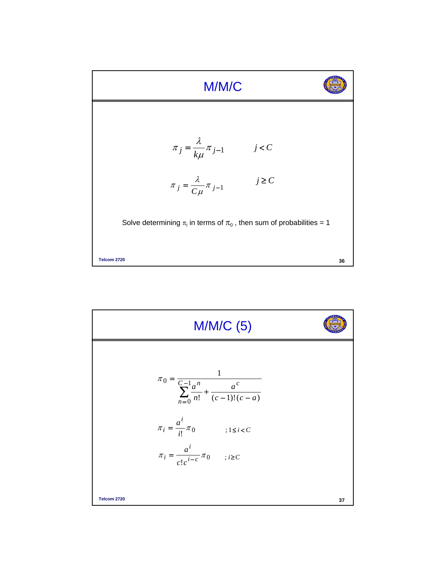

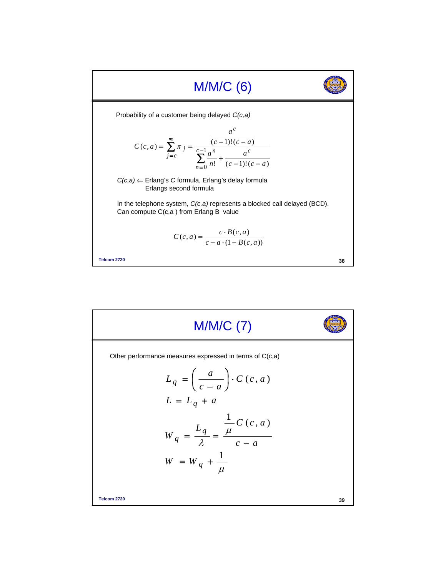

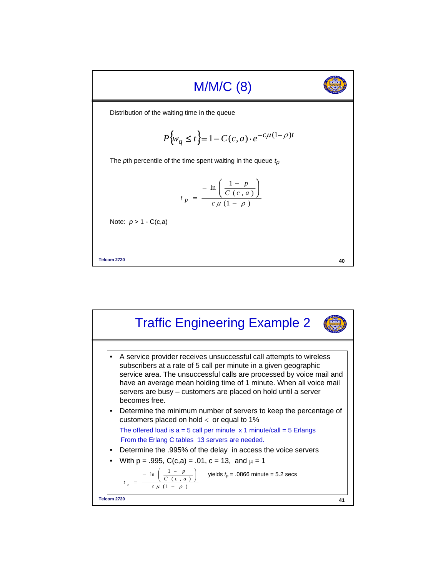

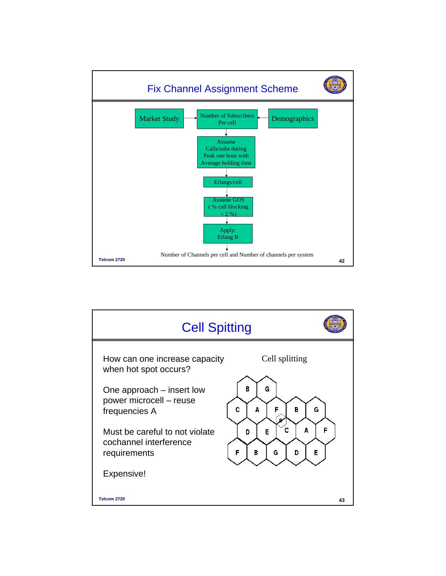